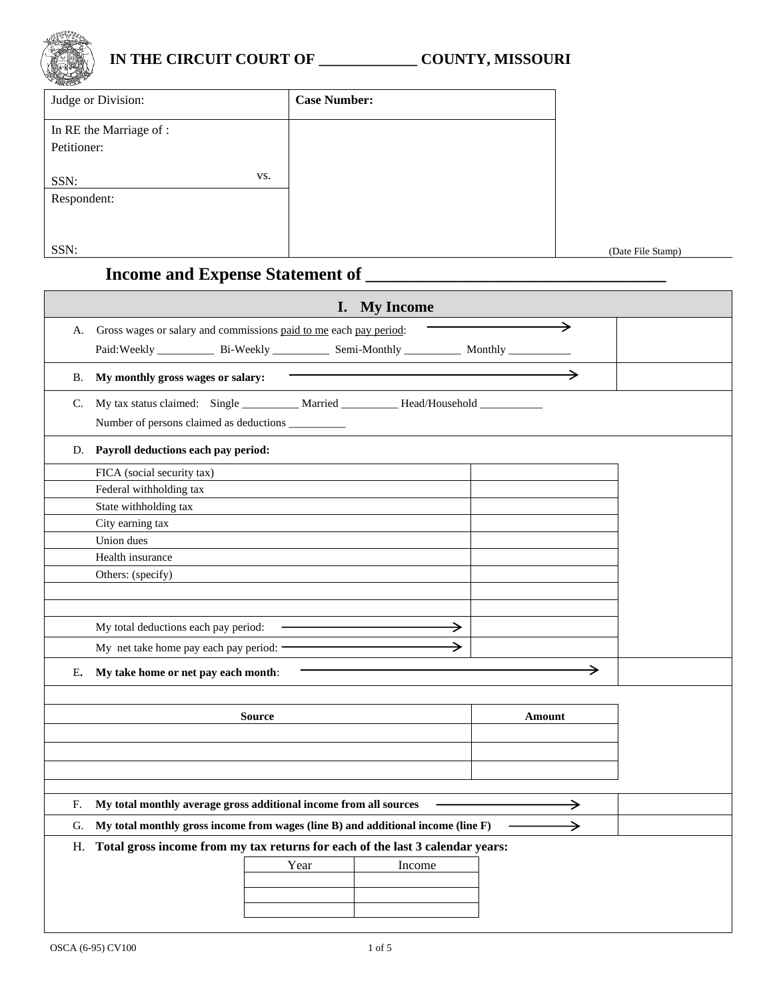

## **IN THE CIRCUIT COURT OF \_\_\_\_\_\_\_\_\_\_\_\_\_ COUNTY, MISSOURI**

| Judge or Division:      | <b>Case Number:</b> |
|-------------------------|---------------------|
| In RE the Marriage of : |                     |
| Petitioner:             |                     |
| VS.<br>SSN:             |                     |
| Respondent:             |                     |
|                         |                     |
| SSN:                    |                     |

(Date File Stamp)

## **Income and Expense Statement of \_\_\_\_\_\_\_\_\_\_\_\_\_\_\_\_\_\_\_\_\_\_\_\_\_\_\_\_\_\_\_\_\_\_**

|    | I. My Income                                                                                         |      |        |               |               |  |  |
|----|------------------------------------------------------------------------------------------------------|------|--------|---------------|---------------|--|--|
| А. | Gross wages or salary and commissions paid to me each pay period:                                    |      |        |               | →             |  |  |
|    | Paid: Weekly _______________ Bi-Weekly ______________ Semi-Monthly ______________ Monthly __________ |      |        |               |               |  |  |
|    |                                                                                                      |      |        |               | →             |  |  |
|    | B. My monthly gross wages or salary:                                                                 |      |        |               |               |  |  |
|    | C. My tax status claimed: Single _________ Married _________ Head/Household _________                |      |        |               |               |  |  |
|    | Number of persons claimed as deductions __________                                                   |      |        |               |               |  |  |
|    | D. Payroll deductions each pay period:                                                               |      |        |               |               |  |  |
|    | FICA (social security tax)                                                                           |      |        |               |               |  |  |
|    | Federal withholding tax                                                                              |      |        |               |               |  |  |
|    | State withholding tax                                                                                |      |        |               |               |  |  |
|    | City earning tax                                                                                     |      |        |               |               |  |  |
|    | Union dues                                                                                           |      |        |               |               |  |  |
|    | Health insurance                                                                                     |      |        |               |               |  |  |
|    | Others: (specify)                                                                                    |      |        |               |               |  |  |
|    |                                                                                                      |      |        |               |               |  |  |
|    |                                                                                                      |      |        |               |               |  |  |
|    | My total deductions each pay period:                                                                 |      |        | $\rightarrow$ |               |  |  |
|    | My net take home pay each pay period: -                                                              |      |        |               |               |  |  |
| Е. | My take home or net pay each month:                                                                  |      |        |               | →             |  |  |
|    |                                                                                                      |      |        |               |               |  |  |
|    | <b>Source</b>                                                                                        |      |        |               | Amount        |  |  |
|    |                                                                                                      |      |        |               |               |  |  |
|    |                                                                                                      |      |        |               |               |  |  |
|    |                                                                                                      |      |        |               |               |  |  |
|    |                                                                                                      |      |        |               |               |  |  |
| F. | My total monthly average gross additional income from all sources                                    |      |        |               |               |  |  |
| G. | My total monthly gross income from wages (line B) and additional income (line F)                     |      |        |               | $\rightarrow$ |  |  |
|    | H. Total gross income from my tax returns for each of the last 3 calendar years:                     |      |        |               |               |  |  |
|    |                                                                                                      | Year | Income |               |               |  |  |
|    |                                                                                                      |      |        |               |               |  |  |
|    |                                                                                                      |      |        |               |               |  |  |
|    |                                                                                                      |      |        |               |               |  |  |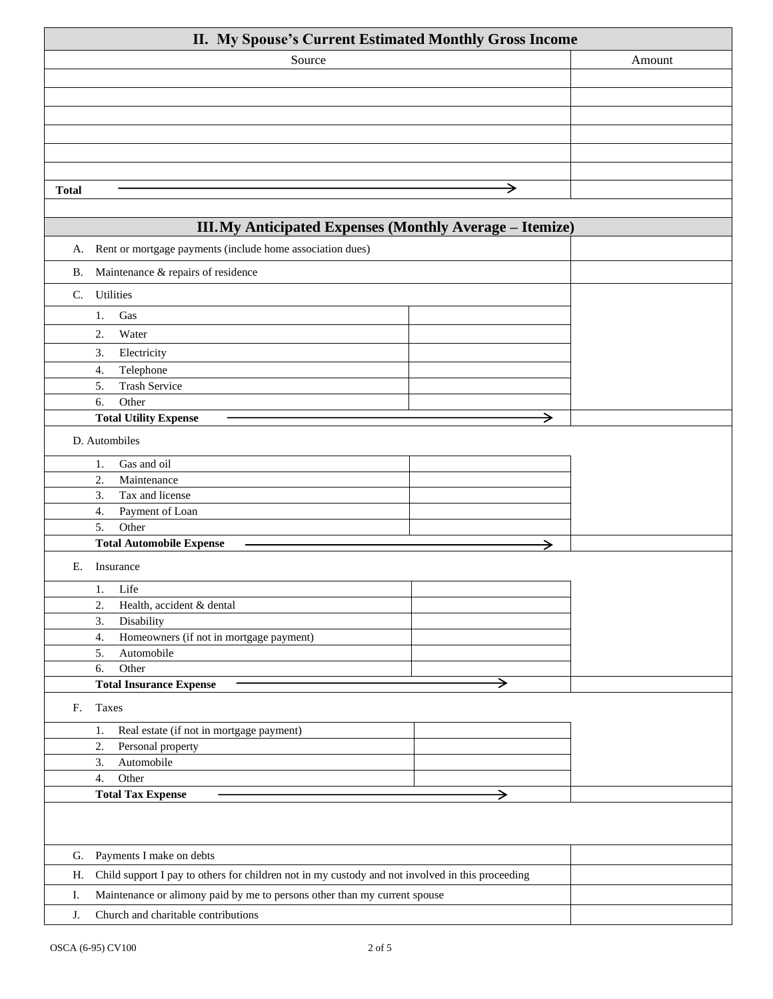| II. My Spouse's Current Estimated Monthly Gross Income                                                 |   |        |
|--------------------------------------------------------------------------------------------------------|---|--------|
| Source                                                                                                 |   | Amount |
|                                                                                                        |   |        |
|                                                                                                        |   |        |
|                                                                                                        |   |        |
|                                                                                                        |   |        |
|                                                                                                        |   |        |
|                                                                                                        |   |        |
|                                                                                                        |   |        |
| <b>Total</b>                                                                                           | → |        |
|                                                                                                        |   |        |
| III. My Anticipated Expenses (Monthly Average - Itemize)                                               |   |        |
| Rent or mortgage payments (include home association dues)<br>А.                                        |   |        |
| Maintenance & repairs of residence<br><b>B.</b>                                                        |   |        |
| Utilities<br>C.                                                                                        |   |        |
| 1.<br>Gas                                                                                              |   |        |
| 2.<br>Water                                                                                            |   |        |
| 3.<br>Electricity                                                                                      |   |        |
| Telephone<br>4.                                                                                        |   |        |
| <b>Trash Service</b><br>5.                                                                             |   |        |
| Other<br>6.                                                                                            |   |        |
| <b>Total Utility Expense</b>                                                                           | → |        |
| D. Autombiles                                                                                          |   |        |
| Gas and oil<br>1.                                                                                      |   |        |
| Maintenance<br>2.                                                                                      |   |        |
| Tax and license<br>3.                                                                                  |   |        |
| Payment of Loan<br>4.                                                                                  |   |        |
| 5.<br>Other                                                                                            |   |        |
| <b>Total Automobile Expense</b>                                                                        |   |        |
| Insurance<br>Е.                                                                                        |   |        |
| 1. Life                                                                                                |   |        |
| 2.<br>Health, accident & dental                                                                        |   |        |
| 3.<br>Disability                                                                                       |   |        |
| Homeowners (if not in mortgage payment)<br>4.                                                          |   |        |
| 5.<br>Automobile                                                                                       |   |        |
| Other<br>6.                                                                                            |   |        |
| <b>Total Insurance Expense</b>                                                                         | → |        |
| Taxes<br>F.                                                                                            |   |        |
| Real estate (if not in mortgage payment)<br>1.                                                         |   |        |
| 2.<br>Personal property                                                                                |   |        |
| 3.<br>Automobile                                                                                       |   |        |
| Other<br>4.                                                                                            |   |        |
| <b>Total Tax Expense</b>                                                                               | → |        |
|                                                                                                        |   |        |
|                                                                                                        |   |        |
| Payments I make on debts<br>G.                                                                         |   |        |
| Child support I pay to others for children not in my custody and not involved in this proceeding<br>Н. |   |        |
| Maintenance or alimony paid by me to persons other than my current spouse<br>Ι.                        |   |        |
| J.<br>Church and charitable contributions                                                              |   |        |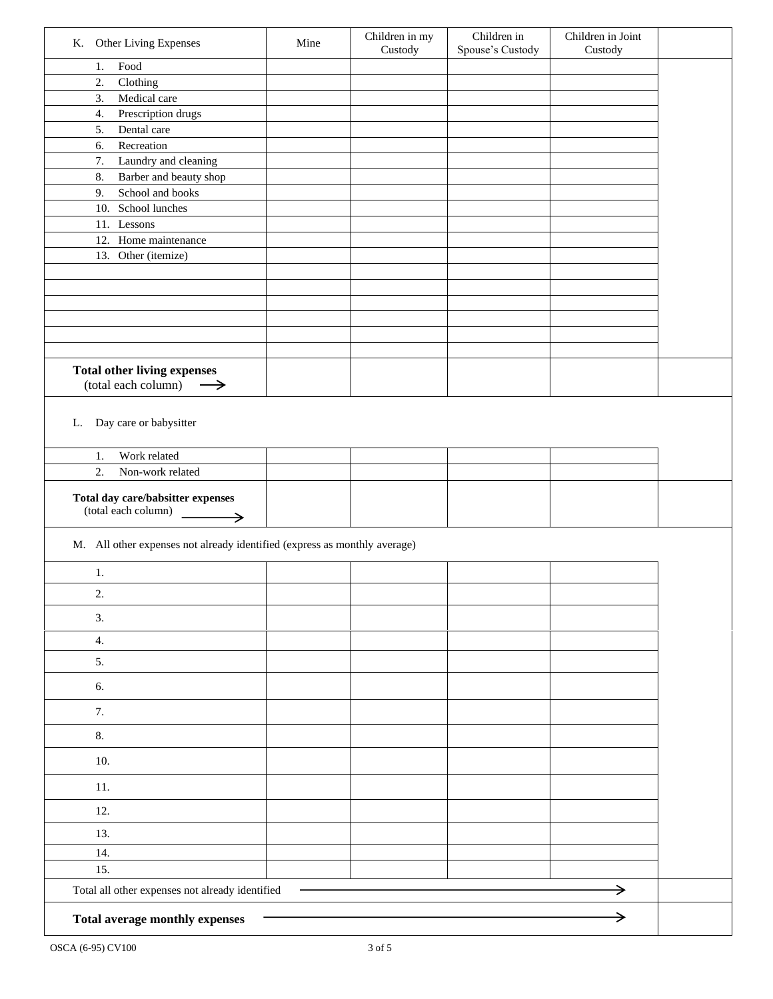| K. Other Living Expenses                                                  | Mine | Children in my<br>Custody | Children in<br>Spouse's Custody | Children in Joint<br>Custody |  |
|---------------------------------------------------------------------------|------|---------------------------|---------------------------------|------------------------------|--|
| $\operatorname*{Food}$<br>1.                                              |      |                           |                                 |                              |  |
| 2.<br>Clothing                                                            |      |                           |                                 |                              |  |
| 3.<br>Medical care                                                        |      |                           |                                 |                              |  |
| 4.<br>Prescription drugs                                                  |      |                           |                                 |                              |  |
| 5.<br>Dental care                                                         |      |                           |                                 |                              |  |
| 6.<br>Recreation<br>Laundry and cleaning<br>7.                            |      |                           |                                 |                              |  |
| Barber and beauty shop<br>8.                                              |      |                           |                                 |                              |  |
| School and books<br>9.                                                    |      |                           |                                 |                              |  |
| 10. School lunches                                                        |      |                           |                                 |                              |  |
| 11. Lessons                                                               |      |                           |                                 |                              |  |
| 12. Home maintenance                                                      |      |                           |                                 |                              |  |
| 13. Other (itemize)                                                       |      |                           |                                 |                              |  |
|                                                                           |      |                           |                                 |                              |  |
|                                                                           |      |                           |                                 |                              |  |
|                                                                           |      |                           |                                 |                              |  |
|                                                                           |      |                           |                                 |                              |  |
|                                                                           |      |                           |                                 |                              |  |
|                                                                           |      |                           |                                 |                              |  |
| <b>Total other living expenses</b><br>$(total each column) \rightarrow$   |      |                           |                                 |                              |  |
| Work related<br>1.<br>2.<br>Non-work related                              |      |                           |                                 |                              |  |
| Total day care/babsitter expenses<br>(total each column)                  |      |                           |                                 |                              |  |
|                                                                           |      |                           |                                 |                              |  |
| M. All other expenses not already identified (express as monthly average) |      |                           |                                 |                              |  |
| 1.                                                                        |      |                           |                                 |                              |  |
| 2.                                                                        |      |                           |                                 |                              |  |
| 3.                                                                        |      |                           |                                 |                              |  |
| $\overline{4}$ .                                                          |      |                           |                                 |                              |  |
| 5.                                                                        |      |                           |                                 |                              |  |
| 6.                                                                        |      |                           |                                 |                              |  |
| 7.                                                                        |      |                           |                                 |                              |  |
| 8.                                                                        |      |                           |                                 |                              |  |
| 10.                                                                       |      |                           |                                 |                              |  |
| 11.                                                                       |      |                           |                                 |                              |  |
| 12.                                                                       |      |                           |                                 |                              |  |
| 13.                                                                       |      |                           |                                 |                              |  |
| 14.                                                                       |      |                           |                                 |                              |  |
| 15.                                                                       |      |                           |                                 |                              |  |
| Total all other expenses not already identified                           |      |                           |                                 | →                            |  |
| Total average monthly expenses                                            |      |                           |                                 | →                            |  |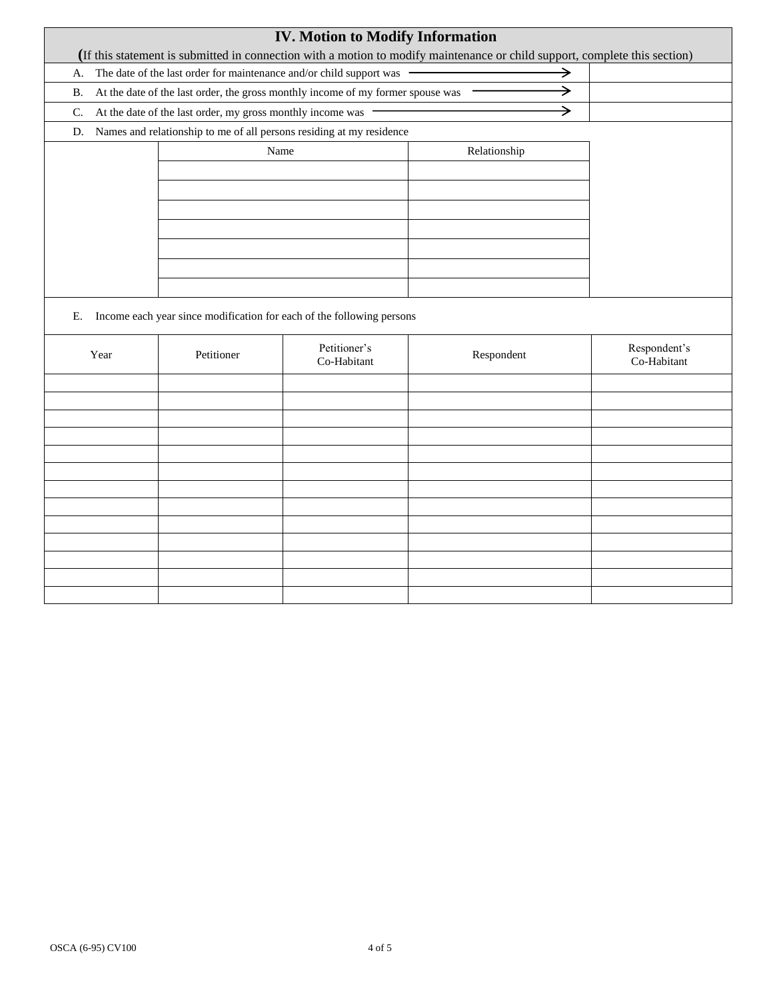|           |                                                                     |                                                            | <b>IV. Motion to Modify Information</b>                                         | (If this statement is submitted in connection with a motion to modify maintenance or child support, complete this section) |                             |
|-----------|---------------------------------------------------------------------|------------------------------------------------------------|---------------------------------------------------------------------------------|----------------------------------------------------------------------------------------------------------------------------|-----------------------------|
| A.        | The date of the last order for maintenance and/or child support was |                                                            |                                                                                 |                                                                                                                            |                             |
| <b>B.</b> |                                                                     |                                                            | At the date of the last order, the gross monthly income of my former spouse was | →                                                                                                                          |                             |
| C.        |                                                                     | At the date of the last order, my gross monthly income was |                                                                                 | →                                                                                                                          |                             |
| D.        |                                                                     |                                                            | Names and relationship to me of all persons residing at my residence            |                                                                                                                            |                             |
|           |                                                                     | Name                                                       |                                                                                 | Relationship                                                                                                               |                             |
|           |                                                                     |                                                            |                                                                                 |                                                                                                                            |                             |
|           |                                                                     |                                                            |                                                                                 |                                                                                                                            |                             |
|           |                                                                     |                                                            |                                                                                 |                                                                                                                            |                             |
|           |                                                                     |                                                            |                                                                                 |                                                                                                                            |                             |
|           |                                                                     |                                                            |                                                                                 |                                                                                                                            |                             |
|           |                                                                     |                                                            |                                                                                 |                                                                                                                            |                             |
|           |                                                                     |                                                            |                                                                                 |                                                                                                                            |                             |
| Е.        |                                                                     |                                                            | Income each year since modification for each of the following persons           |                                                                                                                            |                             |
|           | Year                                                                | Petitioner                                                 | Petitioner's<br>Co-Habitant                                                     | Respondent                                                                                                                 | Respondent's<br>Co-Habitant |
|           |                                                                     |                                                            |                                                                                 |                                                                                                                            |                             |
|           |                                                                     |                                                            |                                                                                 |                                                                                                                            |                             |
|           |                                                                     |                                                            |                                                                                 |                                                                                                                            |                             |
|           |                                                                     |                                                            |                                                                                 |                                                                                                                            |                             |
|           |                                                                     |                                                            |                                                                                 |                                                                                                                            |                             |
|           |                                                                     |                                                            |                                                                                 |                                                                                                                            |                             |
|           |                                                                     |                                                            |                                                                                 |                                                                                                                            |                             |
|           |                                                                     |                                                            |                                                                                 |                                                                                                                            |                             |
|           |                                                                     |                                                            |                                                                                 |                                                                                                                            |                             |
|           |                                                                     |                                                            |                                                                                 |                                                                                                                            |                             |
|           |                                                                     |                                                            |                                                                                 |                                                                                                                            |                             |
|           |                                                                     |                                                            |                                                                                 |                                                                                                                            |                             |